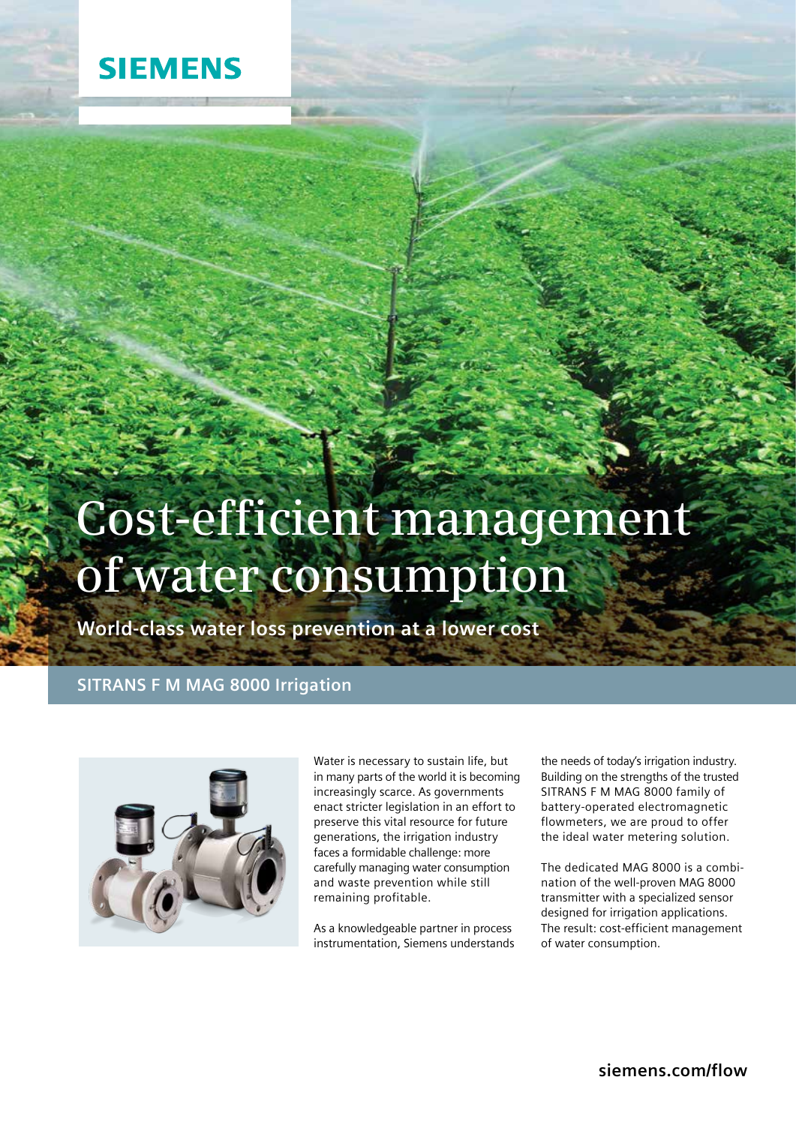# **SIEMENS**

# **Cost-efficient management of water consumption**

**World-class water loss prevention at a lower cost**

## **SITRANS F M MAG 8000 Irrigation**



Water is necessary to sustain life, but in many parts of the world it is becoming increasingly scarce. As governments enact stricter legislation in an effort to preserve this vital resource for future generations, the irrigation industry faces a formidable challenge: more carefully managing water consumption and waste prevention while still remaining profitable.

As a knowledgeable partner in process instrumentation, Siemens understands

the needs of today's irrigation industry. Building on the strengths of the trusted SITRANS F M MAG 8000 family of battery-operated electromagnetic flowmeters, we are proud to offer the ideal water metering solution.

The dedicated MAG 8000 is a combination of the well-proven MAG 8000 transmitter with a specialized sensor designed for irrigation applications. The result: cost-efficient management of water consumption.